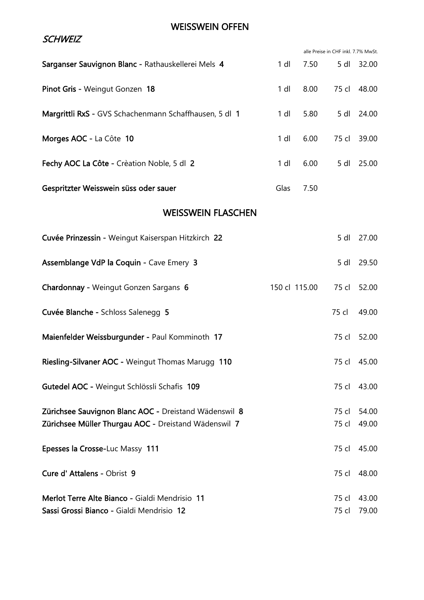#### WEISSWEIN OFFEN

|                                                        |               |      | alle Preise in CHF inkl. 7.7% MwSt. |             |
|--------------------------------------------------------|---------------|------|-------------------------------------|-------------|
| Sarganser Sauvignon Blanc - Rathauskellerei Mels 4     | $1$ dl        | 7.50 | 5 dl                                | 32.00       |
| Pinot Gris - Weingut Gonzen 18                         | $1$ dl        | 8.00 | 75 cl                               | 48.00       |
| Margrittli RxS - GVS Schachenmann Schaffhausen, 5 dl 1 | 1 dl          | 5.80 | 5 dl                                | 24.00       |
| Morges AOC - La Côte 10                                | $1$ dl        | 6.00 | 75 cl                               | 39.00       |
| Fechy AOC La Côte - Crèation Noble, 5 dl 2             | 1 dl          | 6.00 | $5$ dl                              | 25.00       |
| Gespritzter Weisswein süss oder sauer                  | Glas          | 7.50 |                                     |             |
| <b>WEISSWEIN FLASCHEN</b>                              |               |      |                                     |             |
| Cuvée Prinzessin - Weingut Kaiserspan Hitzkirch 22     |               |      | 5 dl                                | 27.00       |
| Assemblange VdP la Coquin - Cave Emery 3               |               |      | 5 dl                                | 29.50       |
| Chardonnay - Weingut Gonzen Sargans 6                  | 150 cl 115.00 |      | 75 cl                               | 52.00       |
| Cuvée Blanche - Schloss Salenegg 5                     |               |      | 75 cl                               | 49.00       |
| Maienfelder Weissburgunder - Paul Komminoth 17         |               |      | 75 cl                               | 52.00       |
| Riesling-Silvaner AOC - Weingut Thomas Marugg 110      |               |      |                                     | 75 cl 45.00 |
| Gutedel AOC - Weingut Schlössli Schafis 109            |               |      | 75 cl                               | 43.00       |
| Zürichsee Sauvignon Blanc AOC - Dreistand Wädenswil 8  |               |      | 75 cl                               | 54.00       |
| Zürichsee Müller Thurgau AOC - Dreistand Wädenswil 7   |               |      | 75 cl                               | 49.00       |
| Epesses la Crosse-Luc Massy 111                        |               |      |                                     | 75 cl 45.00 |
| Cure d' Attalens - Obrist 9                            |               |      | 75 cl                               | 48.00       |
| Merlot Terre Alte Bianco - Gialdi Mendrisio 11         |               |      | 75 cl                               | 43.00       |
| Sassi Grossi Bianco - Gialdi Mendrisio 12              |               |      | 75 cl                               | 79.00       |

### **SCHWEIZ**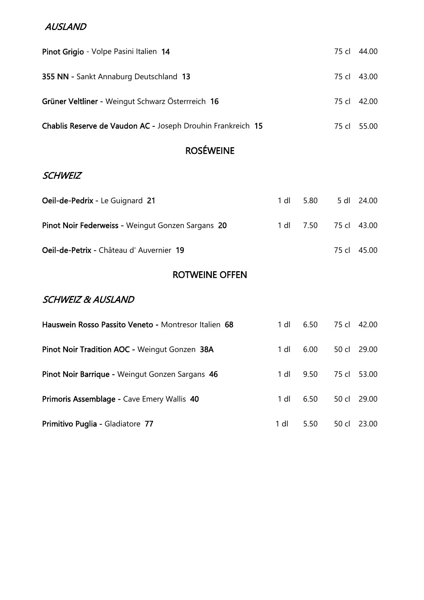#### AUSLAND

| Pinot Grigio - Volpe Pasini Italien 14                      |             | 75 cl 44.00 |
|-------------------------------------------------------------|-------------|-------------|
| 355 NN - Sankt Annaburg Deutschland 13                      |             | 75 cl 43.00 |
| Grüner Veltliner - Weingut Schwarz Österrreich 16           | 75 cl 42.00 |             |
| Chablis Reserve de Vaudon AC - Joseph Drouhin Frankreich 15 |             | 75 cl 55.00 |

# ROSÉWEINE

#### **SCHWEIZ**

| Oeil-de-Pedrix - Le Guignard 21                   | 1 dl 5.80 | 5 dl 24.00  |
|---------------------------------------------------|-----------|-------------|
| Pinot Noir Federweiss - Weingut Gonzen Sargans 20 |           |             |
| Oeil-de-Petrix - Château d'Auvernier 19           |           | 75 cl 45.00 |

# ROTWEINE OFFEN

### SCHWEIZ & AUSLAND

| Hauswein Rosso Passito Veneto - Montresor Italien 68 | 1 dl | 6.50 |       | 75 cl 42.00 |
|------------------------------------------------------|------|------|-------|-------------|
| Pinot Noir Tradition AOC - Weingut Gonzen 38A        | 1 dl | 6.00 | 50 cl | 29.00       |
| Pinot Noir Barrique - Weingut Gonzen Sargans 46      | 1 dl | 9.50 |       | 75 cl 53.00 |
| Primoris Assemblage - Cave Emery Wallis 40           | 1 dl | 6.50 |       | 50 cl 29.00 |
| Primitivo Puglia - Gladiatore 77                     | 1 dl | 5.50 | 50 cl | 23.00       |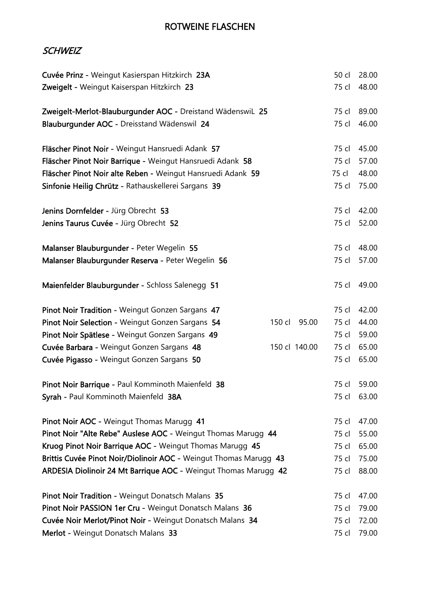### ROTWEINE FLASCHEN

#### **SCHWEIZ**

| Cuvée Prinz - Weingut Kasierspan Hitzkirch 23A                    |               | 50 cl          | 28.00 |
|-------------------------------------------------------------------|---------------|----------------|-------|
| Zweigelt - Weingut Kaiserspan Hitzkirch 23                        |               | 75 cl          | 48.00 |
|                                                                   |               |                |       |
| Zweigelt-Merlot-Blauburgunder AOC - Dreistand Wädenswil 25        |               | 75 cl          | 89.00 |
| Blauburgunder AOC - Dreisstand Wädenswil 24                       |               | 75 cl          | 46.00 |
|                                                                   |               |                |       |
| Fläscher Pinot Noir - Weingut Hansruedi Adank 57                  |               | 75 cl          | 45.00 |
| Fläscher Pinot Noir Barrique - Weingut Hansruedi Adank 58         |               | 75 cl          | 57.00 |
| Fläscher Pinot Noir alte Reben - Weingut Hansruedi Adank 59       |               | 75 cl          | 48.00 |
| Sinfonie Heilig Chrütz - Rathauskellerei Sargans 39               |               | 75 cl          | 75.00 |
|                                                                   |               |                |       |
| Jenins Dornfelder - Jürg Obrecht 53                               |               | 75 cl          | 42.00 |
| Jenins Taurus Cuvée - Jürg Obrecht 52                             |               | 75 cl          | 52.00 |
| Malanser Blauburgunder - Peter Wegelin 55                         |               | 75 cl          | 48.00 |
| Malanser Blauburgunder Reserva - Peter Wegelin 56                 |               | 75 cl          | 57.00 |
|                                                                   |               |                |       |
| Maienfelder Blauburgunder - Schloss Salenegg 51                   |               | 75 cl          | 49.00 |
|                                                                   |               |                |       |
| Pinot Noir Tradition - Weingut Gonzen Sargans 47                  |               | 75 cl          | 42.00 |
| Pinot Noir Selection - Weingut Gonzen Sargans 54                  | 150 cl        | 75 cl<br>95.00 | 44.00 |
| Pinot Noir Spätlese - Weingut Gonzen Sargans 49                   |               | 75 cl          | 59.00 |
| Cuvée Barbara - Weingut Gonzen Sargans 48                         | 150 cl 140.00 | 75 cl          | 65.00 |
| Cuvée Pigasso - Weingut Gonzen Sargans 50                         |               | 75 cl          | 65.00 |
|                                                                   |               |                |       |
| Pinot Noir Barrique - Paul Komminoth Maienfeld 38                 |               | 75 cl          | 59.00 |
| Syrah - Paul Komminoth Maienfeld 38A                              |               | 75 cl          | 63.00 |
| Pinot Noir AOC - Weingut Thomas Marugg 41                         |               | 75 cl          | 47.00 |
| Pinot Noir "Alte Rebe" Auslese AOC - Weingut Thomas Marugg 44     |               | 75 cl          | 55.00 |
| Kruog Pinot Noir Barrique AOC - Weingut Thomas Marugg 45          |               | 75 cl          | 65.00 |
| Brittis Cuvée Pinot Noir/Diolinoir AOC - Weingut Thomas Marugg 43 |               | 75 cl          | 75.00 |
| ARDESIA Diolinoir 24 Mt Barrique AOC - Weingut Thomas Marugg 42   |               | 75 cl          | 88.00 |
|                                                                   |               |                |       |
| Pinot Noir Tradition - Weingut Donatsch Malans 35                 |               | 75 cl          | 47.00 |
| Pinot Noir PASSION 1er Cru - Weingut Donatsch Malans 36           |               | 75 cl          | 79.00 |
| Cuvée Noir Merlot/Pinot Noir - Weingut Donatsch Malans 34         |               | 75 cl          | 72.00 |
| Merlot - Weingut Donatsch Malans 33                               |               | 75 cl          | 79.00 |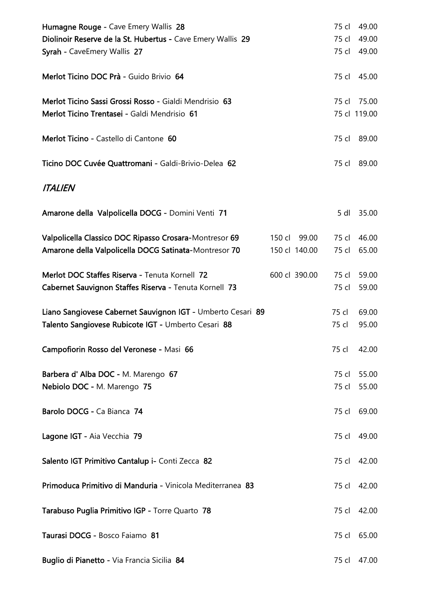| Humagne Rouge - Cave Emery Wallis 28                        |               | 75 cl | 49.00        |
|-------------------------------------------------------------|---------------|-------|--------------|
| Diolinoir Reserve de la St. Hubertus - Cave Emery Wallis 29 |               | 75 cl | 49.00        |
| Syrah - CaveEmery Wallis 27                                 |               | 75 cl | 49.00        |
| Merlot Ticino DOC Prà - Guido Brivio 64                     |               |       | 75 cl 45.00  |
| Merlot Ticino Sassi Grossi Rosso - Gialdi Mendrisio 63      |               | 75 cl | 75.00        |
| Merlot Ticino Trentasei - Galdi Mendrisio 61                |               |       | 75 cl 119.00 |
| Merlot Ticino - Castello di Cantone 60                      |               |       | 75 cl 89.00  |
| Ticino DOC Cuvée Quattromani - Galdi-Brivio-Delea 62        |               |       | 75 cl 89.00  |
| <b>ITALIEN</b>                                              |               |       |              |
| Amarone della Valpolicella DOCG - Domini Venti 71           |               | 5 dl  | 35.00        |
| Valpolicella Classico DOC Ripasso Crosara-Montresor 69      | 150 cl 99.00  | 75 cl | 46.00        |
| Amarone della Valpolicella DOCG Satinata-Montresor 70       | 150 cl 140.00 | 75 cl | 65.00        |
| Merlot DOC Staffes Riserva - Tenuta Kornell 72              | 600 cl 390.00 | 75 cl | 59.00        |
| Cabernet Sauvignon Staffes Riserva - Tenuta Kornell 73      |               | 75 cl | 59.00        |
| Liano Sangiovese Cabernet Sauvignon IGT - Umberto Cesari 89 |               | 75 cl | 69.00        |
| Talento Sangiovese Rubicote IGT - Umberto Cesari 88         |               | 75 cl | 95.00        |
| Campofiorin Rosso del Veronese - Masi 66                    |               | 75 cl | 42.00        |
| Barbera d' Alba DOC - M. Marengo 67                         |               | 75 cl | 55.00        |
| Nebiolo DOC - M. Marengo 75                                 |               | 75 cl | 55.00        |
| Barolo DOCG - Ca Bianca 74                                  |               |       | 75 cl 69.00  |
| Lagone IGT - Aia Vecchia 79                                 |               |       | 75 cl 49.00  |
| Salento IGT Primitivo Cantalup i- Conti Zecca 82            |               |       | 75 cl 42.00  |
| Primoduca Primitivo di Manduria - Vinicola Mediterranea 83  |               |       | 75 cl 42.00  |
| Tarabuso Puglia Primitivo IGP - Torre Quarto 78             |               |       | 75 cl 42.00  |
| Taurasi DOCG - Bosco Faiamo 81                              |               |       | 75 cl 65.00  |
| Buglio di Pianetto - Via Francia Sicilia 84                 |               |       | 75 cl 47.00  |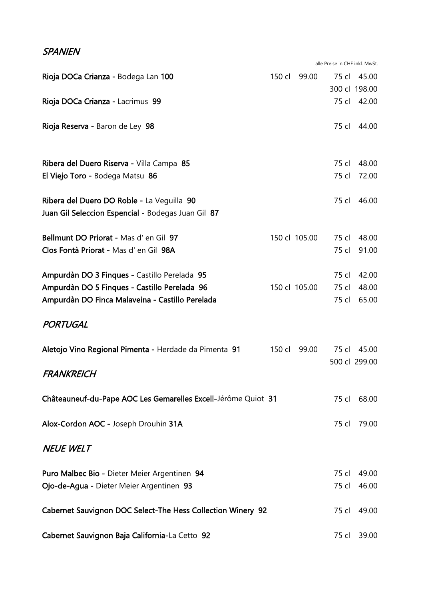#### **SPANIEN**

alle Preise in CHF inkl. MwSt.

| Rioja DOCa Crianza - Bodega Lan 100                                                              | 150 cl | 99.00         | 75 cl | 45.00         |
|--------------------------------------------------------------------------------------------------|--------|---------------|-------|---------------|
|                                                                                                  |        |               |       | 300 cl 198.00 |
| Rioja DOCa Crianza - Lacrimus 99                                                                 |        |               | 75 cl | 42.00         |
| Rioja Reserva - Baron de Ley 98                                                                  |        |               | 75 cl | 44.00         |
| Ribera del Duero Riserva - Villa Campa 85                                                        |        |               | 75 cl | 48.00         |
| El Viejo Toro - Bodega Matsu 86                                                                  |        |               | 75 cl | 72.00         |
| Ribera del Duero DO Roble - La Veguilla 90<br>Juan Gil Seleccion Espencial - Bodegas Juan Gil 87 |        |               | 75 cl | 46.00         |
| Bellmunt DO Priorat - Mas d' en Gil 97                                                           |        | 150 cl 105.00 | 75 cl | 48.00         |
| Clos Fontà Priorat - Mas d' en Gil 98A                                                           |        |               | 75 cl | 91.00         |
| Ampurdàn DO 3 Finques - Castillo Perelada 95                                                     |        |               | 75 cl | 42.00         |
| Ampurdàn DO 5 Finques - Castillo Perelada 96                                                     |        | 150 cl 105.00 | 75 cl | 48.00         |
| Ampurdàn DO Finca Malaveina - Castillo Perelada                                                  |        |               | 75 cl | 65.00         |
| PORTUGAL                                                                                         |        |               |       |               |
| Aletojo Vino Regional Pimenta - Herdade da Pimenta 91                                            | 150 cl | 99.00         | 75 cl | 45.00         |
| FRANKREICH                                                                                       |        |               |       | 500 cl 299.00 |
| Châteauneuf-du-Pape AOC Les Gemarelles Excell-Jérôme Quiot 31                                    |        |               | 75 cl | 68.00         |
| Alox-Cordon AOC - Joseph Drouhin 31A                                                             |        |               | 75 cl | 79.00         |
| <b>NEUE WELT</b>                                                                                 |        |               |       |               |
| Puro Malbec Bio - Dieter Meier Argentinen 94                                                     |        |               | 75 cl | 49.00         |
| Ojo-de-Agua - Dieter Meier Argentinen 93                                                         |        |               | 75 cl | 46.00         |
| Cabernet Sauvignon DOC Select-The Hess Collection Winery 92                                      |        |               | 75 cl | 49.00         |
| Cabernet Sauvignon Baja California-La Cetto 92                                                   |        |               |       | 75 cl 39.00   |